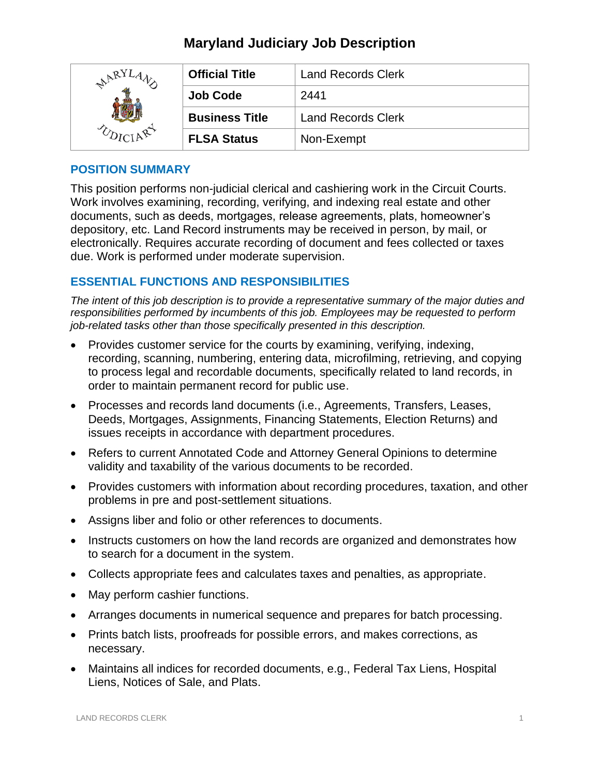# **Maryland Judiciary Job Description**

| ARY | <b>Official Title</b> | <b>Land Records Clerk</b> |
|-----|-----------------------|---------------------------|
|     | <b>Job Code</b>       | 2441                      |
|     | <b>Business Title</b> | <b>Land Records Clerk</b> |
|     | <b>FLSA Status</b>    | Non-Exempt                |

### **POSITION SUMMARY**

This position performs non-judicial clerical and cashiering work in the Circuit Courts. Work involves examining, recording, verifying, and indexing real estate and other documents, such as deeds, mortgages, release agreements, plats, homeowner's depository, etc. Land Record instruments may be received in person, by mail, or electronically. Requires accurate recording of document and fees collected or taxes due. Work is performed under moderate supervision.

## **ESSENTIAL FUNCTIONS AND RESPONSIBILITIES**

*The intent of this job description is to provide a representative summary of the major duties and responsibilities performed by incumbents of this job. Employees may be requested to perform job-related tasks other than those specifically presented in this description.*

- Provides customer service for the courts by examining, verifying, indexing, recording, scanning, numbering, entering data, microfilming, retrieving, and copying to process legal and recordable documents, specifically related to land records, in order to maintain permanent record for public use.
- Processes and records land documents (i.e., Agreements, Transfers, Leases, Deeds, Mortgages, Assignments, Financing Statements, Election Returns) and issues receipts in accordance with department procedures.
- Refers to current Annotated Code and Attorney General Opinions to determine validity and taxability of the various documents to be recorded.
- Provides customers with information about recording procedures, taxation, and other problems in pre and post-settlement situations.
- Assigns liber and folio or other references to documents.
- Instructs customers on how the land records are organized and demonstrates how to search for a document in the system.
- Collects appropriate fees and calculates taxes and penalties, as appropriate.
- May perform cashier functions.
- Arranges documents in numerical sequence and prepares for batch processing.
- Prints batch lists, proofreads for possible errors, and makes corrections, as necessary.
- Maintains all indices for recorded documents, e.g., Federal Tax Liens, Hospital Liens, Notices of Sale, and Plats.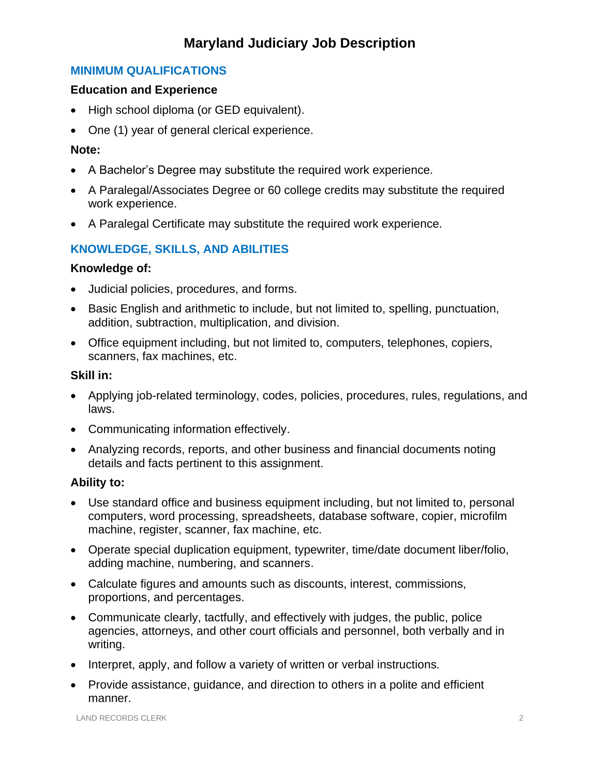# **Maryland Judiciary Job Description**

## **MINIMUM QUALIFICATIONS**

### **Education and Experience**

- High school diploma (or GED equivalent).
- One (1) year of general clerical experience.

### **Note:**

- A Bachelor's Degree may substitute the required work experience.
- A Paralegal/Associates Degree or 60 college credits may substitute the required work experience.
- A Paralegal Certificate may substitute the required work experience.

## **KNOWLEDGE, SKILLS, AND ABILITIES**

### **Knowledge of:**

- Judicial policies, procedures, and forms.
- Basic English and arithmetic to include, but not limited to, spelling, punctuation, addition, subtraction, multiplication, and division.
- Office equipment including, but not limited to, computers, telephones, copiers, scanners, fax machines, etc.

### **Skill in:**

- Applying job-related terminology, codes, policies, procedures, rules, regulations, and laws.
- Communicating information effectively.
- Analyzing records, reports, and other business and financial documents noting details and facts pertinent to this assignment.

### **Ability to:**

- Use standard office and business equipment including, but not limited to, personal computers, word processing, spreadsheets, database software, copier, microfilm machine, register, scanner, fax machine, etc.
- Operate special duplication equipment, typewriter, time/date document liber/folio, adding machine, numbering, and scanners.
- Calculate figures and amounts such as discounts, interest, commissions, proportions, and percentages.
- Communicate clearly, tactfully, and effectively with judges, the public, police agencies, attorneys, and other court officials and personnel, both verbally and in writing.
- Interpret, apply, and follow a variety of written or verbal instructions.
- Provide assistance, guidance, and direction to others in a polite and efficient manner.